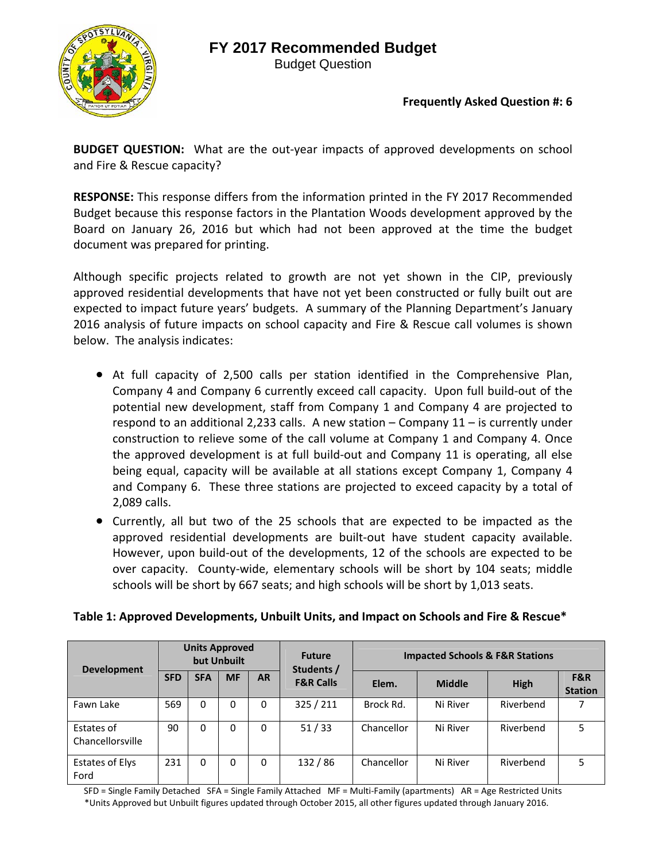

Budget Question

#### **Frequently Asked Question #: 6**

**BUDGET QUESTION:** What are the out-year impacts of approved developments on school and Fire & Rescue capacity?

**RESPONSE:** This response differs from the information printed in the FY 2017 Recommended Budget because this response factors in the Plantation Woods development approved by the Board on January 26, 2016 but which had not been approved at the time the budget document was prepared for printing.

Although specific projects related to growth are not yet shown in the CIP, previously approved residential developments that have not yet been constructed or fully built out are expected to impact future years' budgets. A summary of the Planning Department's January 2016 analysis of future impacts on school capacity and Fire & Rescue call volumes is shown below. The analysis indicates:

- At full capacity of 2,500 calls per station identified in the Comprehensive Plan, Company 4 and Company 6 currently exceed call capacity. Upon full build‐out of the potential new development, staff from Company 1 and Company 4 are projected to respond to an additional 2,233 calls. A new station – Company 11 – is currently under construction to relieve some of the call volume at Company 1 and Company 4. Once the approved development is at full build‐out and Company 11 is operating, all else being equal, capacity will be available at all stations except Company 1, Company 4 and Company 6. These three stations are projected to exceed capacity by a total of 2,089 calls.
- Currently, all but two of the 25 schools that are expected to be impacted as the approved residential developments are built-out have student capacity available. However, upon build‐out of the developments, 12 of the schools are expected to be over capacity. County-wide, elementary schools will be short by 104 seats; middle schools will be short by 667 seats; and high schools will be short by 1,013 seats.

| Table 1: Approved Developments, Unbuilt Units, and Impact on Schools and Fire & Rescue* |  |  |
|-----------------------------------------------------------------------------------------|--|--|
|-----------------------------------------------------------------------------------------|--|--|

| <b>Development</b>             |            | <b>Units Approved</b> | but Unbuilt |              | <b>Future</b><br>Students / | <b>Impacted Schools &amp; F&amp;R Stations</b> |               |           |                       |
|--------------------------------|------------|-----------------------|-------------|--------------|-----------------------------|------------------------------------------------|---------------|-----------|-----------------------|
|                                | <b>SFD</b> | <b>SFA</b>            | <b>MF</b>   | <b>AR</b>    | <b>F&amp;R Calls</b>        | Elem.                                          | <b>Middle</b> | High      | F&R<br><b>Station</b> |
| Fawn Lake                      | 569        | 0                     | 0           | $\mathbf{0}$ | 325 / 211                   | Brock Rd.                                      | Ni River      | Riverbend |                       |
| Estates of<br>Chancellorsville | 90         | 0                     | 0           | 0            | 51/33                       | Chancellor                                     | Ni River      | Riverbend | 5                     |
| <b>Estates of Elys</b><br>Ford | 231        | $\Omega$              | 0           | $\Omega$     | 132/86                      | Chancellor                                     | Ni River      | Riverbend | 5                     |

SFD = Single Family Detached SFA = Single Family Attached MF = Multi‐Family (apartments) AR = Age Restricted Units \*Units Approved but Unbuilt figures updated through October 2015, all other figures updated through January 2016.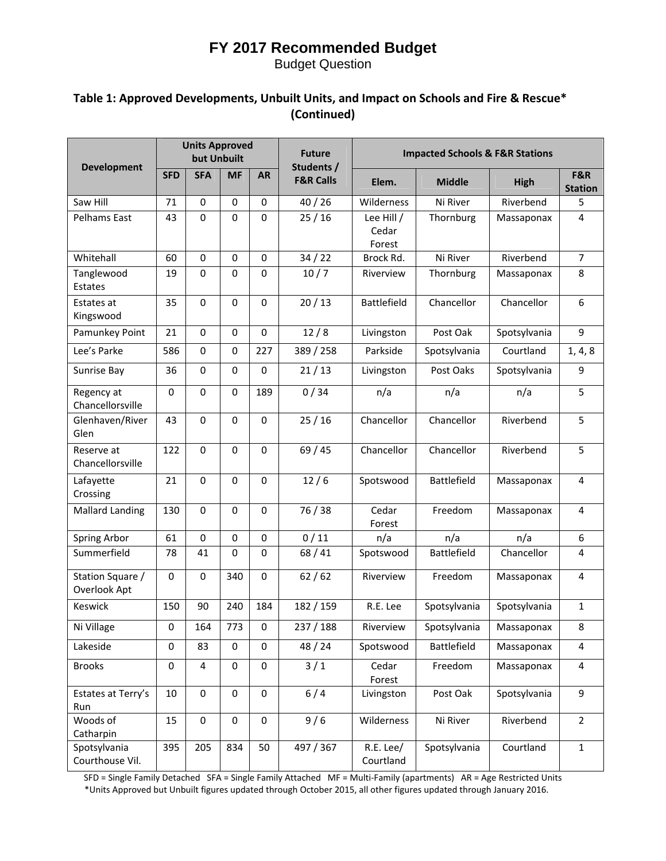Budget Question

### **Table 1: Approved Developments, Unbuilt Units, and Impact on Schools and Fire & Rescue\* (Continued)**

|                                  |             | <b>Units Approved</b><br>but Unbuilt |                  |             | <b>Future</b>                      | <b>Impacted Schools &amp; F&amp;R Stations</b> |                    |              |                         |
|----------------------------------|-------------|--------------------------------------|------------------|-------------|------------------------------------|------------------------------------------------|--------------------|--------------|-------------------------|
| <b>Development</b>               | <b>SFD</b>  | <b>SFA</b>                           | <b>MF</b>        | <b>AR</b>   | Students /<br><b>F&amp;R Calls</b> | Elem.                                          | <b>Middle</b>      | High         | F&R<br><b>Station</b>   |
| Saw Hill                         | 71          | 0                                    | $\Omega$         | $\mathbf 0$ | 40/26                              | Wilderness                                     | Ni River           | Riverbend    | 5                       |
| Pelhams East                     | 43          | 0                                    | 0                | $\mathbf 0$ | 25/16                              | Lee Hill /<br>Cedar<br>Forest                  | Thornburg          | Massaponax   | 4                       |
| Whitehall                        | 60          | 0                                    | $\boldsymbol{0}$ | 0           | 34/22                              | Brock Rd.                                      | Ni River           | Riverbend    | $\overline{7}$          |
| Tanglewood<br>Estates            | 19          | 0                                    | $\mathbf 0$      | $\mathbf 0$ | 10/7                               | Riverview                                      | Thornburg          | Massaponax   | 8                       |
| Estates at<br>Kingswood          | 35          | 0                                    | $\mathbf 0$      | $\mathbf 0$ | 20/13                              | <b>Battlefield</b>                             | Chancellor         | Chancellor   | 6                       |
| Pamunkey Point                   | 21          | 0                                    | $\Omega$         | $\mathbf 0$ | 12/8                               | Livingston                                     | Post Oak           | Spotsylvania | 9                       |
| Lee's Parke                      | 586         | $\mathbf 0$                          | $\mathbf 0$      | 227         | 389 / 258                          | Parkside                                       | Spotsylvania       | Courtland    | 1, 4, 8                 |
| Sunrise Bay                      | 36          | 0                                    | $\Omega$         | $\Omega$    | 21/13                              | Livingston                                     | Post Oaks          | Spotsylvania | 9                       |
| Regency at<br>Chancellorsville   | $\mathbf 0$ | 0                                    | $\mathbf 0$      | 189         | 0/34                               | n/a                                            | n/a                | n/a          | 5                       |
| Glenhaven/River<br>Glen          | 43          | 0                                    | $\Omega$         | 0           | 25/16                              | Chancellor                                     | Chancellor         | Riverbend    | 5                       |
| Reserve at<br>Chancellorsville   | 122         | 0                                    | $\Omega$         | $\mathbf 0$ | 69/45                              | Chancellor                                     | Chancellor         | Riverbend    | 5                       |
| Lafayette<br>Crossing            | 21          | $\mathbf 0$                          | $\mathbf 0$      | 0           | 12/6                               | Spotswood                                      | <b>Battlefield</b> | Massaponax   | 4                       |
| <b>Mallard Landing</b>           | 130         | 0                                    | $\Omega$         | $\mathbf 0$ | 76 / 38                            | Cedar<br>Forest                                | Freedom            | Massaponax   | $\overline{4}$          |
| Spring Arbor                     | 61          | 0                                    | $\mathbf 0$      | 0           | 0/11                               | n/a                                            | n/a                | n/a          | 6                       |
| Summerfield                      | 78          | 41                                   | $\Omega$         | 0           | 68/41                              | Spotswood                                      | Battlefield        | Chancellor   | $\overline{4}$          |
| Station Square /<br>Overlook Apt | $\mathbf 0$ | 0                                    | 340              | 0           | 62/62                              | Riverview                                      | Freedom            | Massaponax   | 4                       |
| Keswick                          | 150         | 90                                   | 240              | 184         | 182 / 159                          | R.E. Lee                                       | Spotsylvania       | Spotsylvania | $\mathbf{1}$            |
| Ni Village                       | $\mathbf 0$ | 164                                  | 773              | $\mathbf 0$ | 237 / 188                          | Riverview                                      | Spotsylvania       | Massaponax   | 8                       |
| Lakeside                         | $\mathbf 0$ | 83                                   | 0                | 0           | 48 / 24                            | Spotswood                                      | <b>Battlefield</b> | Massaponax   | $\overline{4}$          |
| <b>Brooks</b>                    | $\pmb{0}$   | 4                                    | $\mathbf 0$      | $\pmb{0}$   | 3/1                                | Cedar<br>Forest                                | Freedom            | Massaponax   | $\overline{\mathbf{4}}$ |
| Estates at Terry's<br>Run        | 10          | $\pmb{0}$                            | $\pmb{0}$        | $\pmb{0}$   | 6/4                                | Livingston                                     | Post Oak           | Spotsylvania | 9                       |
| Woods of<br>Catharpin            | 15          | $\pmb{0}$                            | 0                | 0           | 9/6                                | Wilderness                                     | Ni River           | Riverbend    | $\overline{2}$          |
| Spotsylvania<br>Courthouse Vil.  | 395         | 205                                  | 834              | 50          | 497 / 367                          | R.E. Lee/<br>Courtland                         | Spotsylvania       | Courtland    | $\mathbf 1$             |

SFD = Single Family Detached SFA = Single Family Attached MF = Multi‐Family (apartments) AR = Age Restricted Units \*Units Approved but Unbuilt figures updated through October 2015, all other figures updated through January 2016.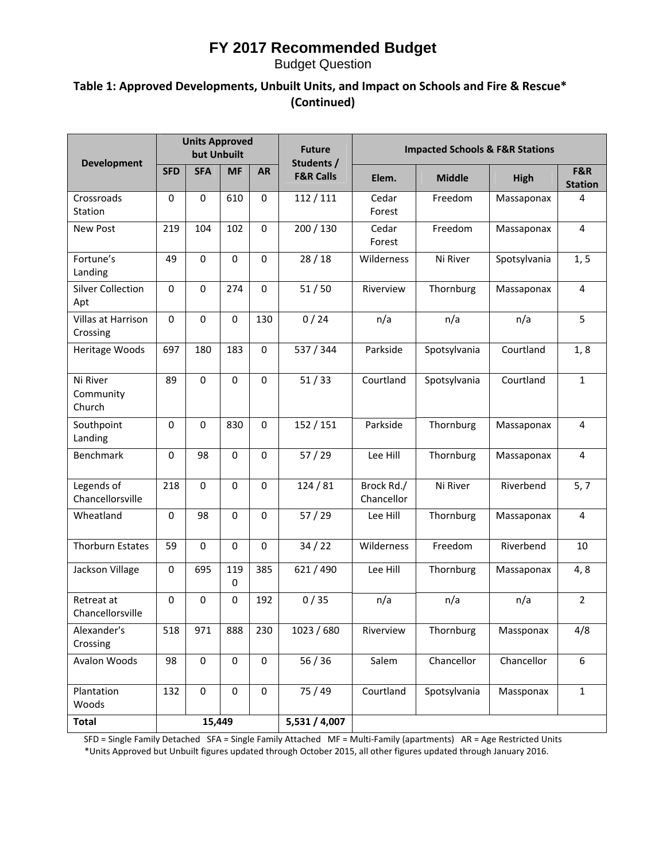Budget Question

### **Table 1: Approved Developments, Unbuilt Units, and Impact on Schools and Fire & Rescue\* (Continued)**

|                                 |             | <b>Units Approved</b><br>but Unbuilt |                    |             | <b>Future</b>                      | <b>Impacted Schools &amp; F&amp;R Stations</b> |               |              |                       |
|---------------------------------|-------------|--------------------------------------|--------------------|-------------|------------------------------------|------------------------------------------------|---------------|--------------|-----------------------|
| <b>Development</b>              | <b>SFD</b>  | <b>SFA</b>                           | <b>MF</b>          | <b>AR</b>   | Students /<br><b>F&amp;R Calls</b> | Elem.                                          | <b>Middle</b> | High         | F&R<br><b>Station</b> |
| Crossroads<br>Station           | $\mathbf 0$ | $\mathbf 0$                          | 610                | $\Omega$    | 112/111                            | Cedar<br>Forest                                | Freedom       | Massaponax   | 4                     |
| New Post                        | 219         | 104                                  | 102                | $\Omega$    | 200 / 130                          | Cedar<br>Forest                                | Freedom       | Massaponax   | $\overline{4}$        |
| Fortune's<br>Landing            | 49          | $\mathbf 0$                          | $\mathbf 0$        | $\Omega$    | 28/18                              | Wilderness                                     | Ni River      | Spotsylvania | 1, 5                  |
| <b>Silver Collection</b><br>Apt | $\mathbf 0$ | $\mathbf 0$                          | 274                | $\Omega$    | 51/50                              | Riverview                                      | Thornburg     | Massaponax   | 4                     |
| Villas at Harrison<br>Crossing  | $\mathbf 0$ | $\mathbf 0$                          | $\mathbf 0$        | 130         | 0/24                               | n/a                                            | n/a           | n/a          | 5                     |
| Heritage Woods                  | 697         | 180                                  | 183                | $\Omega$    | 537 / 344                          | Parkside                                       | Spotsylvania  | Courtland    | 1, 8                  |
| Ni River<br>Community<br>Church | 89          | $\Omega$                             | $\Omega$           | $\Omega$    | 51/33                              | Courtland                                      | Spotsylvania  | Courtland    | $\mathbf{1}$          |
| Southpoint<br>Landing           | $\mathbf 0$ | $\Omega$                             | 830                | $\mathbf 0$ | 152/151                            | Parkside                                       | Thornburg     | Massaponax   | $\overline{4}$        |
| Benchmark                       | 0           | 98                                   | $\mathbf 0$        | $\mathbf 0$ | 57/29                              | Lee Hill                                       | Thornburg     | Massaponax   | $\overline{4}$        |
| Legends of<br>Chancellorsville  | 218         | $\mathbf 0$                          | $\mathbf 0$        | $\mathbf 0$ | 124/81                             | Brock Rd./<br>Chancellor                       | Ni River      | Riverbend    | 5, 7                  |
| Wheatland                       | $\mathbf 0$ | 98                                   | $\mathbf 0$        | $\mathbf 0$ | 57/29                              | Lee Hill                                       | Thornburg     | Massaponax   | 4                     |
| <b>Thorburn Estates</b>         | 59          | $\mathbf 0$                          | $\mathbf 0$        | $\mathbf 0$ | 34/22                              | Wilderness                                     | Freedom       | Riverbend    | 10                    |
| Jackson Village                 | $\mathbf 0$ | 695                                  | 119<br>$\mathbf 0$ | 385         | 621/490                            | Lee Hill                                       | Thornburg     | Massaponax   | 4,8                   |
| Retreat at<br>Chancellorsville  | $\mathbf 0$ | $\mathbf 0$                          | $\mathbf 0$        | 192         | 0/35                               | n/a                                            | n/a           | n/a          | $\overline{2}$        |
| Alexander's<br>Crossing         | 518         | 971                                  | 888                | 230         | 1023 / 680                         | Riverview                                      | Thornburg     | Massponax    | 4/8                   |
| Avalon Woods                    | 98          | $\boldsymbol{0}$                     | 0                  | 0           | 56/36                              | Salem                                          | Chancellor    | Chancellor   | 6                     |
| Plantation<br>Woods             | 132         | $\mathbf 0$                          | $\pmb{0}$          | $\pmb{0}$   | 75 / 49                            | Courtland                                      | Spotsylvania  | Massponax    | $\mathbf 1$           |
| <b>Total</b>                    |             | 15,449                               |                    |             | 5,531 / 4,007                      |                                                |               |              |                       |

SFD = Single Family Detached SFA = Single Family Attached MF = Multi‐Family (apartments) AR = Age Restricted Units \*Units Approved but Unbuilt figures updated through October 2015, all other figures updated through January 2016.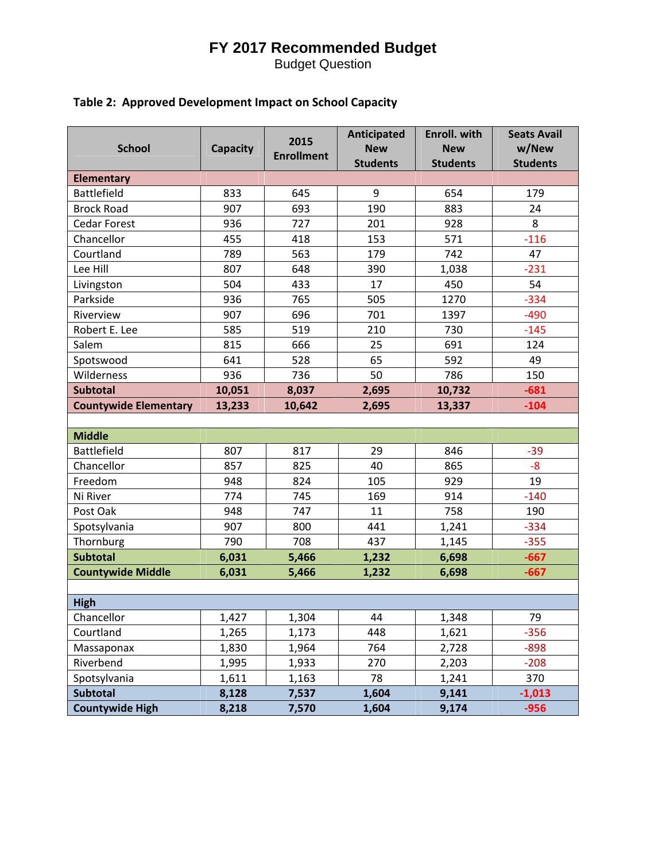Budget Question

### **Table 2: Approved Development Impact on School Capacity**

| <b>School</b>                | <b>Capacity</b> | 2015              | Anticipated<br><b>New</b> | Enroll. with<br><b>New</b> | <b>Seats Avail</b><br>w/New |
|------------------------------|-----------------|-------------------|---------------------------|----------------------------|-----------------------------|
|                              |                 | <b>Enrollment</b> | <b>Students</b>           | <b>Students</b>            | <b>Students</b>             |
| <b>Elementary</b>            |                 |                   |                           |                            |                             |
| <b>Battlefield</b>           | 833             | 645               | 9                         | 654                        | 179                         |
| <b>Brock Road</b>            | 907             | 693               | 190                       | 883                        | 24                          |
| <b>Cedar Forest</b>          | 936             | 727               | 201                       | 928                        | 8                           |
| Chancellor                   | 455             | 418               | 153                       | 571                        | $-116$                      |
| Courtland                    | 789             | 563               | 179                       | 742                        | 47                          |
| Lee Hill                     | 807             | 648               | 390                       | 1,038                      | $-231$                      |
| Livingston                   | 504             | 433               | 17                        | 450                        | 54                          |
| Parkside                     | 936             | 765               | 505                       | 1270                       | $-334$                      |
| Riverview                    | 907             | 696               | 701                       | 1397                       | $-490$                      |
| Robert E. Lee                | 585             | 519               | 210                       | 730                        | $-145$                      |
| Salem                        | 815             | 666               | 25                        | 691                        | 124                         |
| Spotswood                    | 641             | 528               | 65                        | 592                        | 49                          |
| Wilderness                   | 936             | 736               | 50                        | 786                        | 150                         |
| <b>Subtotal</b>              | 10,051          | 8,037             | 2,695                     | 10,732                     | $-681$                      |
| <b>Countywide Elementary</b> | 13,233          | 10,642            | 2,695                     | 13,337                     | $-104$                      |
|                              |                 |                   |                           |                            |                             |
| <b>Middle</b>                |                 |                   |                           |                            |                             |
| <b>Battlefield</b>           | 807             | 817               | 29                        | 846                        | $-39$                       |
| Chancellor                   | 857             | 825               | 40                        | 865                        | $-8$                        |
| Freedom                      | 948             | 824               | 105                       | 929                        | 19                          |
| Ni River                     | 774             | 745               | 169                       | 914                        | $-140$                      |
| Post Oak                     | 948             | 747               | 11                        | 758                        | 190                         |
| Spotsylvania                 | 907             | 800               | 441                       | 1,241                      | $-334$                      |
| Thornburg                    | 790             | 708               | 437                       | 1,145                      | $-355$                      |
| <b>Subtotal</b>              | 6,031           | 5,466             | 1,232                     | 6,698                      | $-667$                      |
| <b>Countywide Middle</b>     | 6,031           | 5,466             | 1,232                     | 6,698                      | $-667$                      |
|                              |                 |                   |                           |                            |                             |
| <b>High</b>                  |                 |                   |                           |                            |                             |
| Chancellor                   | 1,427           | 1,304             | 44                        | 1,348                      | 79                          |
| Courtland                    | 1,265           | 1,173             | 448                       | 1,621                      | $-356$                      |
| Massaponax                   | 1,830           | 1,964             | 764                       | 2,728                      | $-898$                      |
| Riverbend                    | 1,995           | 1,933             | 270                       | 2,203                      | $-208$                      |
| Spotsylvania                 | 1,611           | 1,163             | 78                        | 1,241                      | 370                         |
| <b>Subtotal</b>              | 8,128           | 7,537             | 1,604                     | 9,141                      | $-1,013$                    |
| <b>Countywide High</b>       | 8,218           | 7,570             | 1,604                     | 9,174                      | $-956$                      |